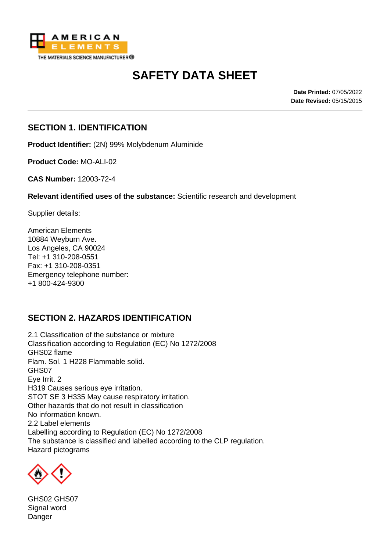

# **SAFETY DATA SHEET**

**Date Printed:** 07/05/2022 **Date Revised:** 05/15/2015

### **SECTION 1. IDENTIFICATION**

**Product Identifier:** (2N) 99% Molybdenum Aluminide

**Product Code:** MO-ALI-02

**CAS Number:** 12003-72-4

**Relevant identified uses of the substance:** Scientific research and development

Supplier details:

American Elements 10884 Weyburn Ave. Los Angeles, CA 90024 Tel: +1 310-208-0551 Fax: +1 310-208-0351 Emergency telephone number: +1 800-424-9300

# **SECTION 2. HAZARDS IDENTIFICATION**

2.1 Classification of the substance or mixture Classification according to Regulation (EC) No 1272/2008 GHS02 flame Flam. Sol. 1 H228 Flammable solid. GHS07 Eye Irrit. 2 H319 Causes serious eye irritation. STOT SE 3 H335 May cause respiratory irritation. Other hazards that do not result in classification No information known. 2.2 Label elements Labelling according to Regulation (EC) No 1272/2008 The substance is classified and labelled according to the CLP regulation. Hazard pictograms



GHS02 GHS07 Signal word Danger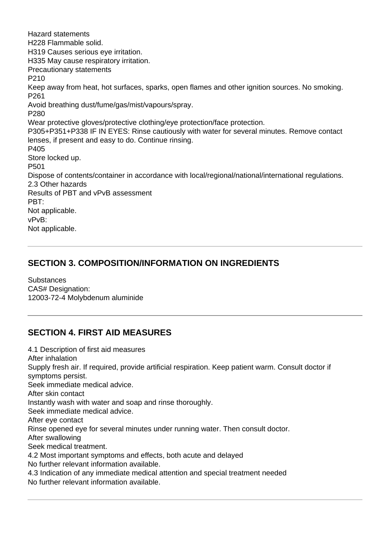Hazard statements H228 Flammable solid. H319 Causes serious eye irritation. H335 May cause respiratory irritation. Precautionary statements P210 Keep away from heat, hot surfaces, sparks, open flames and other ignition sources. No smoking. P261 Avoid breathing dust/fume/gas/mist/vapours/spray. P280 Wear protective gloves/protective clothing/eye protection/face protection. P305+P351+P338 IF IN EYES: Rinse cautiously with water for several minutes. Remove contact lenses, if present and easy to do. Continue rinsing. P405 Store locked up. P501 Dispose of contents/container in accordance with local/regional/national/international regulations. 2.3 Other hazards Results of PBT and vPvB assessment PBT: Not applicable. vPvB: Not applicable.

## **SECTION 3. COMPOSITION/INFORMATION ON INGREDIENTS**

**Substances** CAS# Designation: 12003-72-4 Molybdenum aluminide

# **SECTION 4. FIRST AID MEASURES**

4.1 Description of first aid measures After inhalation Supply fresh air. If required, provide artificial respiration. Keep patient warm. Consult doctor if symptoms persist. Seek immediate medical advice. After skin contact Instantly wash with water and soap and rinse thoroughly. Seek immediate medical advice. After eye contact Rinse opened eye for several minutes under running water. Then consult doctor. After swallowing Seek medical treatment. 4.2 Most important symptoms and effects, both acute and delayed No further relevant information available. 4.3 Indication of any immediate medical attention and special treatment needed No further relevant information available.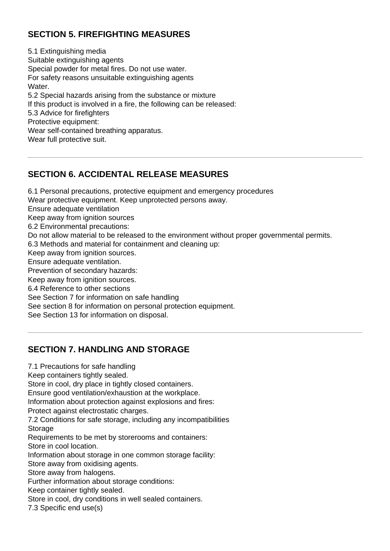# **SECTION 5. FIREFIGHTING MEASURES**

5.1 Extinguishing media Suitable extinguishing agents Special powder for metal fires. Do not use water. For safety reasons unsuitable extinguishing agents Water. 5.2 Special hazards arising from the substance or mixture If this product is involved in a fire, the following can be released: 5.3 Advice for firefighters Protective equipment: Wear self-contained breathing apparatus. Wear full protective suit.

# **SECTION 6. ACCIDENTAL RELEASE MEASURES**

6.1 Personal precautions, protective equipment and emergency procedures Wear protective equipment. Keep unprotected persons away. Ensure adequate ventilation Keep away from ignition sources 6.2 Environmental precautions: Do not allow material to be released to the environment without proper governmental permits. 6.3 Methods and material for containment and cleaning up: Keep away from ignition sources. Ensure adequate ventilation. Prevention of secondary hazards: Keep away from ignition sources. 6.4 Reference to other sections See Section 7 for information on safe handling See section 8 for information on personal protection equipment. See Section 13 for information on disposal.

#### **SECTION 7. HANDLING AND STORAGE**

7.1 Precautions for safe handling Keep containers tightly sealed. Store in cool, dry place in tightly closed containers. Ensure good ventilation/exhaustion at the workplace. Information about protection against explosions and fires: Protect against electrostatic charges. 7.2 Conditions for safe storage, including any incompatibilities Storage Requirements to be met by storerooms and containers: Store in cool location. Information about storage in one common storage facility: Store away from oxidising agents. Store away from halogens. Further information about storage conditions: Keep container tightly sealed. Store in cool, dry conditions in well sealed containers. 7.3 Specific end use(s)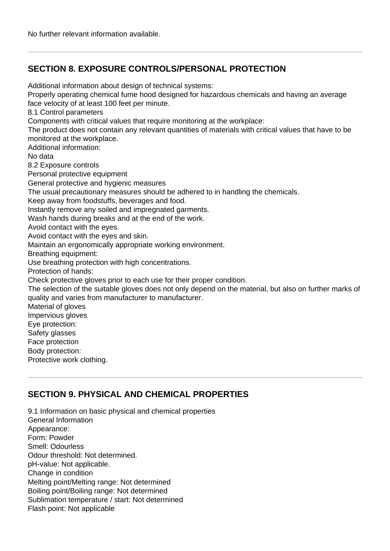# **SECTION 8. EXPOSURE CONTROLS/PERSONAL PROTECTION**

Additional information about design of technical systems:

Properly operating chemical fume hood designed for hazardous chemicals and having an average face velocity of at least 100 feet per minute.

8.1 Control parameters

Components with critical values that require monitoring at the workplace:

The product does not contain any relevant quantities of materials with critical values that have to be monitored at the workplace.

Additional information:

No data

8.2 Exposure controls

Personal protective equipment

General protective and hygienic measures

The usual precautionary measures should be adhered to in handling the chemicals.

Keep away from foodstuffs, beverages and food.

Instantly remove any soiled and impregnated garments.

Wash hands during breaks and at the end of the work.

Avoid contact with the eyes.

Avoid contact with the eyes and skin.

Maintain an ergonomically appropriate working environment.

Breathing equipment:

Use breathing protection with high concentrations.

Protection of hands:

Check protective gloves prior to each use for their proper condition.

The selection of the suitable gloves does not only depend on the material, but also on further marks of quality and varies from manufacturer to manufacturer.

Material of gloves

Impervious gloves

Eye protection: Safety glasses

Face protection

Body protection:

Protective work clothing.

# **SECTION 9. PHYSICAL AND CHEMICAL PROPERTIES**

9.1 Information on basic physical and chemical properties General Information Appearance: Form: Powder Smell: Odourless Odour threshold: Not determined. pH-value: Not applicable. Change in condition Melting point/Melting range: Not determined Boiling point/Boiling range: Not determined Sublimation temperature / start: Not determined Flash point: Not applicable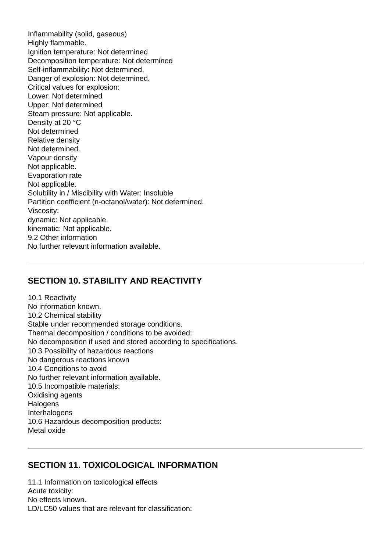Inflammability (solid, gaseous) Highly flammable. Ignition temperature: Not determined Decomposition temperature: Not determined Self-inflammability: Not determined. Danger of explosion: Not determined. Critical values for explosion: Lower: Not determined Upper: Not determined Steam pressure: Not applicable. Density at 20 °C Not determined Relative density Not determined. Vapour density Not applicable. Evaporation rate Not applicable. Solubility in / Miscibility with Water: Insoluble Partition coefficient (n-octanol/water): Not determined. Viscosity: dynamic: Not applicable. kinematic: Not applicable. 9.2 Other information No further relevant information available.

#### **SECTION 10. STABILITY AND REACTIVITY**

10.1 Reactivity No information known. 10.2 Chemical stability Stable under recommended storage conditions. Thermal decomposition / conditions to be avoided: No decomposition if used and stored according to specifications. 10.3 Possibility of hazardous reactions No dangerous reactions known 10.4 Conditions to avoid No further relevant information available. 10.5 Incompatible materials: Oxidising agents **Halogens** Interhalogens 10.6 Hazardous decomposition products: Metal oxide

#### **SECTION 11. TOXICOLOGICAL INFORMATION**

11.1 Information on toxicological effects Acute toxicity: No effects known. LD/LC50 values that are relevant for classification: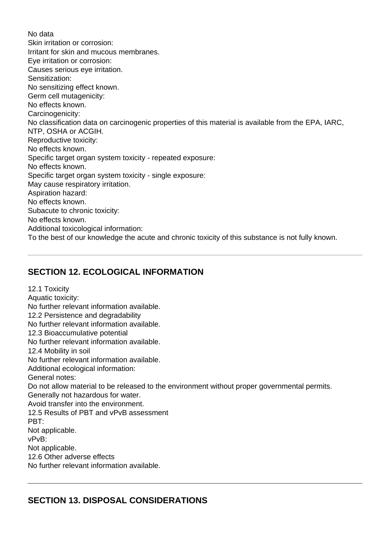No data Skin irritation or corrosion: Irritant for skin and mucous membranes. Eye irritation or corrosion: Causes serious eye irritation. Sensitization: No sensitizing effect known. Germ cell mutagenicity: No effects known. Carcinogenicity: No classification data on carcinogenic properties of this material is available from the EPA, IARC, NTP, OSHA or ACGIH. Reproductive toxicity: No effects known. Specific target organ system toxicity - repeated exposure: No effects known. Specific target organ system toxicity - single exposure: May cause respiratory irritation. Aspiration hazard: No effects known. Subacute to chronic toxicity: No effects known. Additional toxicological information: To the best of our knowledge the acute and chronic toxicity of this substance is not fully known.

# **SECTION 12. ECOLOGICAL INFORMATION**

12.1 Toxicity Aquatic toxicity: No further relevant information available. 12.2 Persistence and degradability No further relevant information available. 12.3 Bioaccumulative potential No further relevant information available. 12.4 Mobility in soil No further relevant information available. Additional ecological information: General notes: Do not allow material to be released to the environment without proper governmental permits. Generally not hazardous for water. Avoid transfer into the environment. 12.5 Results of PBT and vPvB assessment PBT: Not applicable. vPvB: Not applicable. 12.6 Other adverse effects No further relevant information available.

# **SECTION 13. DISPOSAL CONSIDERATIONS**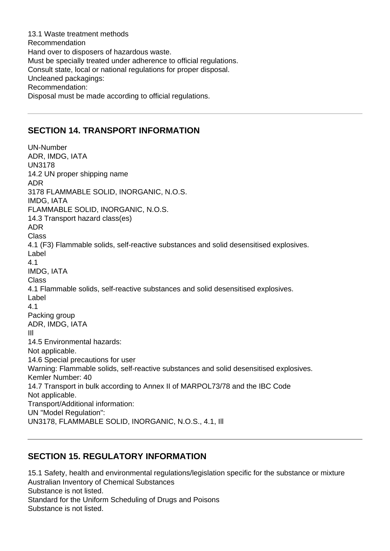13.1 Waste treatment methods Recommendation Hand over to disposers of hazardous waste. Must be specially treated under adherence to official regulations. Consult state, local or national regulations for proper disposal. Uncleaned packagings: Recommendation: Disposal must be made according to official regulations.

### **SECTION 14. TRANSPORT INFORMATION**

UN-Number ADR, IMDG, IATA UN3178 14.2 UN proper shipping name ADR 3178 FLAMMABLE SOLID, INORGANIC, N.O.S. IMDG, IATA FLAMMABLE SOLID, INORGANIC, N.O.S. 14.3 Transport hazard class(es) ADR Class 4.1 (F3) Flammable solids, self-reactive substances and solid desensitised explosives. Label 4.1 IMDG, IATA **Class** 4.1 Flammable solids, self-reactive substances and solid desensitised explosives. Label 4.1 Packing group ADR, IMDG, IATA IIl 14.5 Environmental hazards: Not applicable. 14.6 Special precautions for user Warning: Flammable solids, self-reactive substances and solid desensitised explosives. Kemler Number: 40 14.7 Transport in bulk according to Annex II of MARPOL73/78 and the IBC Code Not applicable. Transport/Additional information: UN "Model Regulation": UN3178, FLAMMABLE SOLID, INORGANIC, N.O.S., 4.1, Ill

# **SECTION 15. REGULATORY INFORMATION**

15.1 Safety, health and environmental regulations/legislation specific for the substance or mixture Australian Inventory of Chemical Substances Substance is not listed. Standard for the Uniform Scheduling of Drugs and Poisons Substance is not listed.